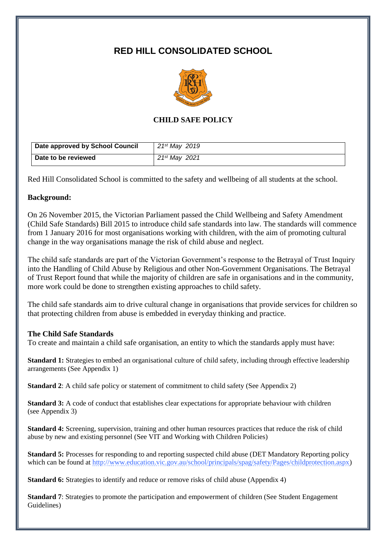# **RED HILL CONSOLIDATED SCHOOL**



# **CHILD SAFE POLICY**

| Date approved by School Council | 21st May 2019 |
|---------------------------------|---------------|
| Date to be reviewed             | 21st Mav 2021 |

Red Hill Consolidated School is committed to the safety and wellbeing of all students at the school.

#### **Background:**

On 26 November 2015, the Victorian Parliament passed the Child Wellbeing and Safety Amendment (Child Safe Standards) Bill 2015 to introduce child safe standards into law. The standards will commence from 1 January 2016 for most organisations working with children, with the aim of promoting cultural change in the way organisations manage the risk of child abuse and neglect.

The child safe standards are part of the Victorian Government's response to the Betrayal of Trust Inquiry into the Handling of Child Abuse by Religious and other Non-Government Organisations. The Betrayal of Trust Report found that while the majority of children are safe in organisations and in the community, more work could be done to strengthen existing approaches to child safety.

The child safe standards aim to drive cultural change in organisations that provide services for children so that protecting children from abuse is embedded in everyday thinking and practice.

#### **The Child Safe Standards**

To create and maintain a child safe organisation, an entity to which the standards apply must have:

**Standard 1:** Strategies to embed an organisational culture of child safety, including through effective leadership arrangements (See Appendix 1)

**Standard 2**: A child safe policy or statement of commitment to child safety (See Appendix 2)

**Standard 3:** A code of conduct that establishes clear expectations for appropriate behaviour with children (see Appendix 3)

**Standard 4:** Screening, supervision, training and other human resources practices that reduce the risk of child abuse by new and existing personnel (See VIT and Working with Children Policies)

**Standard 5:** Processes for responding to and reporting suspected child abuse (DET Mandatory Reporting policy which can be found at [http://www.education.vic.gov.au/school/principals/spag/safety/Pages/childprotection.aspx\)](http://www.education.vic.gov.au/school/principals/spag/safety/Pages/childprotection.aspx)

**Standard 6:** Strategies to identify and reduce or remove risks of child abuse (Appendix 4)

**Standard 7**: Strategies to promote the participation and empowerment of children (See Student Engagement Guidelines)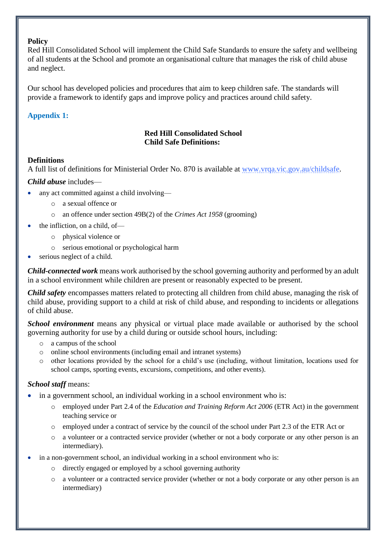### **Policy**

Red Hill Consolidated School will implement the Child Safe Standards to ensure the safety and wellbeing of all students at the School and promote an organisational culture that manages the risk of child abuse and neglect.

Our school has developed policies and procedures that aim to keep children safe. The standards will provide a framework to identify gaps and improve policy and practices around child safety.

#### **Appendix 1:**

# **Red Hill Consolidated School Child Safe Definitions:**

#### **Definitions**

A full list of definitions for Ministerial Order No. 870 is available at [www.vrqa.vic.gov.au/childsafe.](http://www.vrqa.vic.gov.au/childsafe)

*Child abuse* includes—

- any act committed against a child involving
	- o a sexual offence or
	- o an offence under section 49B(2) of the *Crimes Act 1958* (grooming)
	- the infliction, on a child, of
		- o physical violence or
		- o serious emotional or psychological harm
- serious neglect of a child.

*Child-connected work* means work authorised by the school governing authority and performed by an adult in a school environment while children are present or reasonably expected to be present.

*Child safety* encompasses matters related to protecting all children from child abuse, managing the risk of child abuse, providing support to a child at risk of child abuse, and responding to incidents or allegations of child abuse.

*School environment* means any physical or virtual place made available or authorised by the school governing authority for use by a child during or outside school hours, including:

- o a campus of the school
- o online school environments (including email and intranet systems)
- o other locations provided by the school for a child's use (including, without limitation, locations used for school camps, sporting events, excursions, competitions, and other events).

# *School staff* means:

- in a government school, an individual working in a school environment who is:
	- o employed under Part 2.4 of the *Education and Training Reform Act 2006* (ETR Act) in the government teaching service or
	- o employed under a contract of service by the council of the school under Part 2.3 of the ETR Act or
	- o a volunteer or a contracted service provider (whether or not a body corporate or any other person is an intermediary).
- in a non-government school, an individual working in a school environment who is:
	- o directly engaged or employed by a school governing authority
	- o a volunteer or a contracted service provider (whether or not a body corporate or any other person is an intermediary)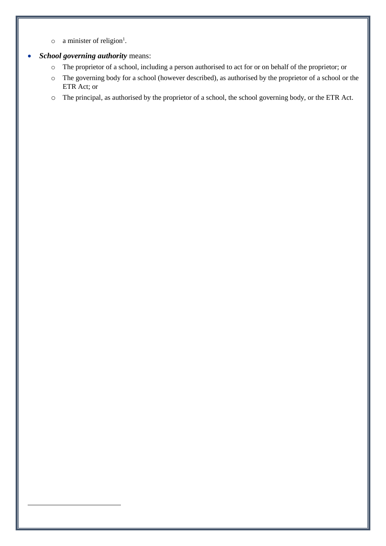- $\circ$  a minister of religion<sup>1</sup>.
- *School governing authority* means:

l

- o The proprietor of a school, including a person authorised to act for or on behalf of the proprietor; or
- o The governing body for a school (however described), as authorised by the proprietor of a school or the ETR Act; or
- o The principal, as authorised by the proprietor of a school, the school governing body, or the ETR Act.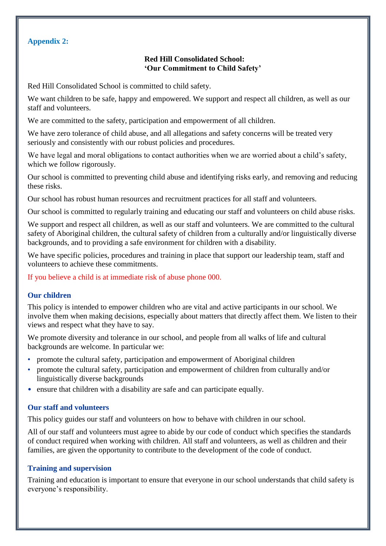# **Appendix 2:**

# **Red Hill Consolidated School: 'Our Commitment to Child Safety'**

Red Hill Consolidated School is committed to child safety.

We want children to be safe, happy and empowered. We support and respect all children, as well as our staff and volunteers.

We are committed to the safety, participation and empowerment of all children.

We have zero tolerance of child abuse, and all allegations and safety concerns will be treated very seriously and consistently with our robust policies and procedures.

We have legal and moral obligations to contact authorities when we are worried about a child's safety, which we follow rigorously.

Our school is committed to preventing child abuse and identifying risks early, and removing and reducing these risks.

Our school has robust human resources and recruitment practices for all staff and volunteers.

Our school is committed to regularly training and educating our staff and volunteers on child abuse risks.

We support and respect all children, as well as our staff and volunteers. We are committed to the cultural safety of Aboriginal children, the cultural safety of children from a culturally and/or linguistically diverse backgrounds, and to providing a safe environment for children with a disability.

We have specific policies, procedures and training in place that support our leadership team, staff and volunteers to achieve these commitments.

If you believe a child is at immediate risk of abuse phone 000.

# **Our children**

This policy is intended to empower children who are vital and active participants in our school. We involve them when making decisions, especially about matters that directly affect them. We listen to their views and respect what they have to say.

We promote diversity and tolerance in our school, and people from all walks of life and cultural backgrounds are welcome. In particular we:

- promote the cultural safety, participation and empowerment of Aboriginal children
- promote the cultural safety, participation and empowerment of children from culturally and/or linguistically diverse backgrounds
- ensure that children with a disability are safe and can participate equally.

#### **Our staff and volunteers**

This policy guides our staff and volunteers on how to behave with children in our school.

All of our staff and volunteers must agree to abide by our code of conduct which specifies the standards of conduct required when working with children. All staff and volunteers, as well as children and their families, are given the opportunity to contribute to the development of the code of conduct.

#### **Training and supervision**

Training and education is important to ensure that everyone in our school understands that child safety is everyone's responsibility.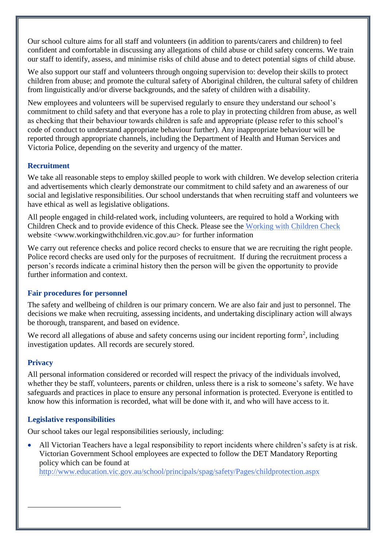Our school culture aims for all staff and volunteers (in addition to parents/carers and children) to feel confident and comfortable in discussing any allegations of child abuse or child safety concerns. We train our staff to identify, assess, and minimise risks of child abuse and to detect potential signs of child abuse.

We also support our staff and volunteers through ongoing supervision to: develop their skills to protect children from abuse; and promote the cultural safety of Aboriginal children, the cultural safety of children from linguistically and/or diverse backgrounds, and the safety of children with a disability.

New employees and volunteers will be supervised regularly to ensure they understand our school's commitment to child safety and that everyone has a role to play in protecting children from abuse, as well as checking that their behaviour towards children is safe and appropriate (please refer to this school's code of conduct to understand appropriate behaviour further). Any inappropriate behaviour will be reported through appropriate channels, including the Department of Health and Human Services and Victoria Police, depending on the severity and urgency of the matter.

# **Recruitment**

We take all reasonable steps to employ skilled people to work with children. We develop selection criteria and advertisements which clearly demonstrate our commitment to child safety and an awareness of our social and legislative responsibilities. Our school understands that when recruiting staff and volunteers we have ethical as well as legislative obligations.

All people engaged in child-related work, including volunteers, are required to hold a Working with Children Check and to provide evidence of this Check. Please see the [Working with Children Check](http://www.workingwithchildren.vic.gov.au/) website <www.workingwithchildren.vic.gov.au> for further information

We carry out reference checks and police record checks to ensure that we are recruiting the right people. Police record checks are used only for the purposes of recruitment. If during the recruitment process a person's records indicate a criminal history then the person will be given the opportunity to provide further information and context.

# **Fair procedures for personnel**

The safety and wellbeing of children is our primary concern. We are also fair and just to personnel. The decisions we make when recruiting, assessing incidents, and undertaking disciplinary action will always be thorough, transparent, and based on evidence.

We record all allegations of abuse and safety concerns using our incident reporting form<sup>2</sup>, including investigation updates. All records are securely stored.

# **Privacy**

l

All personal information considered or recorded will respect the privacy of the individuals involved, whether they be staff, volunteers, parents or children, unless there is a risk to someone's safety. We have safeguards and practices in place to ensure any personal information is protected. Everyone is entitled to know how this information is recorded, what will be done with it, and who will have access to it.

# **Legislative responsibilities**

Our school takes our legal responsibilities seriously, including:

 All Victorian Teachers have a legal responsibility to report incidents where children's safety is at risk. Victorian Government School employees are expected to follow the DET Mandatory Reporting policy which can be found at

<http://www.education.vic.gov.au/school/principals/spag/safety/Pages/childprotection.aspx>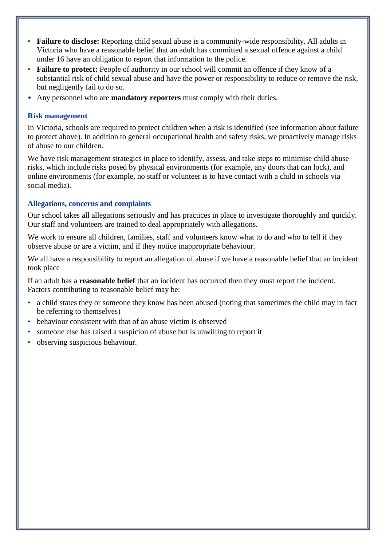- **Failure to disclose:** Reporting child sexual abuse is a community-wide responsibility. All adults in Victoria who have a reasonable belief that an adult has committed a sexual offence against a child under 16 have an obligation to report that information to the police.
- **Failure to protect:** People of authority in our school will commit an offence if they know of a substantial risk of child sexual abuse and have the power or responsibility to reduce or remove the risk, but negligently fail to do so.
- Any personnel who are **mandatory reporters** must comply with their duties.

# **Risk management**

In Victoria, schools are required to protect children when a risk is identified (see information about failure to protect above). In addition to general occupational health and safety risks, we proactively manage risks of abuse to our children.

We have risk management strategies in place to identify, assess, and take steps to minimise child abuse risks, which include risks posed by physical environments (for example, any doors that can lock), and online environments (for example, no staff or volunteer is to have contact with a child in schools via social media).

#### **Allegations, concerns and complaints**

Our school takes all allegations seriously and has practices in place to investigate thoroughly and quickly. Our staff and volunteers are trained to deal appropriately with allegations.

We work to ensure all children, families, staff and volunteers know what to do and who to tell if they observe abuse or are a victim, and if they notice inappropriate behaviour.

We all have a responsibility to report an allegation of abuse if we have a reasonable belief that an incident took place

If an adult has a **reasonable belief** that an incident has occurred then they must report the incident. Factors contributing to reasonable belief may be:

- a child states they or someone they know has been abused (noting that sometimes the child may in fact be referring to themselves)
- behaviour consistent with that of an abuse victim is observed
- someone else has raised a suspicion of abuse but is unwilling to report it
- observing suspicious behaviour.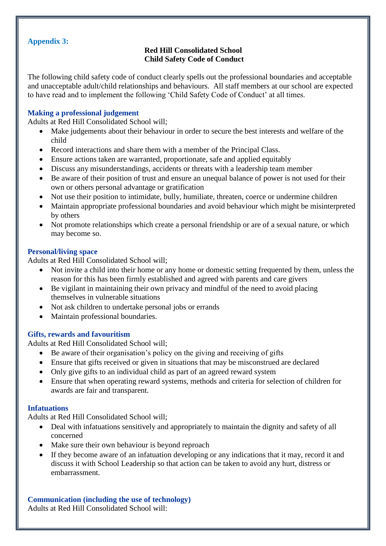### **Appendix 3:**

# **Red Hill Consolidated School Child Safety Code of Conduct**

The following child safety code of conduct clearly spells out the professional boundaries and acceptable and unacceptable adult/child relationships and behaviours. All staff members at our school are expected to have read and to implement the following 'Child Safety Code of Conduct' at all times.

# **Making a professional judgement**

Adults at Red Hill Consolidated School will;

- Make judgements about their behaviour in order to secure the best interests and welfare of the child
- Record interactions and share them with a member of the Principal Class.
- Ensure actions taken are warranted, proportionate, safe and applied equitably
- Discuss any misunderstandings, accidents or threats with a leadership team member
- Be aware of their position of trust and ensure an unequal balance of power is not used for their own or others personal advantage or gratification
- Not use their position to intimidate, bully, humiliate, threaten, coerce or undermine children
- Maintain appropriate professional boundaries and avoid behaviour which might be misinterpreted by others
- Not promote relationships which create a personal friendship or are of a sexual nature, or which may become so.

#### **Personal/living space**

Adults at Red Hill Consolidated School will;

- Not invite a child into their home or any home or domestic setting frequented by them, unless the reason for this has been firmly established and agreed with parents and care givers
- Be vigilant in maintaining their own privacy and mindful of the need to avoid placing themselves in vulnerable situations
- Not ask children to undertake personal jobs or errands
- Maintain professional boundaries.

# **Gifts, rewards and favouritism**

Adults at Red Hill Consolidated School will;

- Be aware of their organisation's policy on the giving and receiving of gifts
- Ensure that gifts received or given in situations that may be misconstrued are declared
- Only give gifts to an individual child as part of an agreed reward system
- Ensure that when operating reward systems, methods and criteria for selection of children for awards are fair and transparent.

#### **Infatuations**

Adults at Red Hill Consolidated School will;

- Deal with infatuations sensitively and appropriately to maintain the dignity and safety of all concerned
- Make sure their own behaviour is beyond reproach
- If they become aware of an infatuation developing or any indications that it may, record it and discuss it with School Leadership so that action can be taken to avoid any hurt, distress or embarrassment.

**Communication (including the use of technology)** Adults at Red Hill Consolidated School will: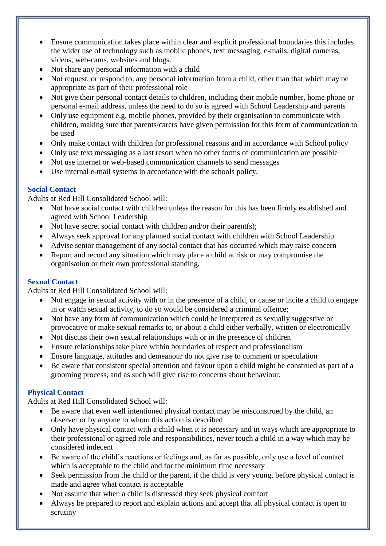- Ensure communication takes place within clear and explicit professional boundaries this includes the wider use of technology such as mobile phones, text messaging, e-mails, digital cameras, videos, web-cams, websites and blogs.
- Not share any personal information with a child
- Not request, or respond to, any personal information from a child, other than that which may be appropriate as part of their professional role
- Not give their personal contact details to children, including their mobile number, home phone or personal e-mail address, unless the need to do so is agreed with School Leadership and parents
- Only use equipment e.g. mobile phones, provided by their organisation to communicate with children, making sure that parents/carers have given permission for this form of communication to be used
- Only make contact with children for professional reasons and in accordance with School policy
- Only use text messaging as a last resort when no other forms of communication are possible
- Not use internet or web-based communication channels to send messages
- Use internal e-mail systems in accordance with the schools policy.

# **Social Contact**

Adults at Red Hill Consolidated School will:

- Not have social contact with children unless the reason for this has been firmly established and agreed with School Leadership
- Not have secret social contact with children and/or their parent(s);
- Always seek approval for any planned social contact with children with School Leadership
- Advise senior management of any social contact that has occurred which may raise concern
- Report and record any situation which may place a child at risk or may compromise the organisation or their own professional standing.

# **Sexual Contact**

Adults at Red Hill Consolidated School will:

- Not engage in sexual activity with or in the presence of a child, or cause or incite a child to engage in or watch sexual activity, to do so would be considered a criminal offence;
- Not have any form of communication which could be interpreted as sexually suggestive or provocative or make sexual remarks to, or about a child either verbally, written or electronically
- Not discuss their own sexual relationships with or in the presence of children
- Ensure relationships take place within boundaries of respect and professionalism
- Ensure language, attitudes and demeanour do not give rise to comment or speculation
- Be aware that consistent special attention and favour upon a child might be construed as part of a grooming process, and as such will give rise to concerns about behaviour.

# **Physical Contact**

Adults at Red Hill Consolidated School will:

- Be aware that even well intentioned physical contact may be misconstrued by the child, an observer or by anyone to whom this action is described
- Only have physical contact with a child when it is necessary and in ways which are appropriate to their professional or agreed role and responsibilities, never touch a child in a way which may be considered indecent
- Be aware of the child's reactions or feelings and, as far as possible, only use a level of contact which is acceptable to the child and for the minimum time necessary
- Seek permission from the child or the parent, if the child is very young, before physical contact is made and agree what contact is acceptable
- Not assume that when a child is distressed they seek physical comfort
- Always be prepared to report and explain actions and accept that all physical contact is open to scrutiny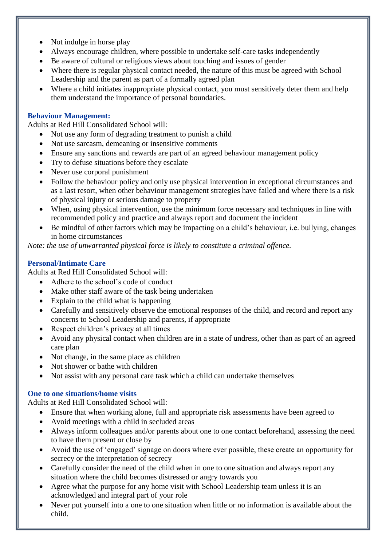- Not indulge in horse play
- Always encourage children, where possible to undertake self-care tasks independently
- Be aware of cultural or religious views about touching and issues of gender
- Where there is regular physical contact needed, the nature of this must be agreed with School Leadership and the parent as part of a formally agreed plan
- Where a child initiates inappropriate physical contact, you must sensitively deter them and help them understand the importance of personal boundaries.

# **Behaviour Management:**

Adults at Red Hill Consolidated School will:

- Not use any form of degrading treatment to punish a child
- Not use sarcasm, demeaning or insensitive comments
- Ensure any sanctions and rewards are part of an agreed behaviour management policy
- Try to defuse situations before they escalate
- Never use corporal punishment
- Follow the behaviour policy and only use physical intervention in exceptional circumstances and as a last resort, when other behaviour management strategies have failed and where there is a risk of physical injury or serious damage to property
- When, using physical intervention, use the minimum force necessary and techniques in line with recommended policy and practice and always report and document the incident
- Be mindful of other factors which may be impacting on a child's behaviour, i.e. bullying, changes in home circumstances

*Note: the use of unwarranted physical force is likely to constitute a criminal offence.*

# **Personal/Intimate Care**

Adults at Red Hill Consolidated School will:

- Adhere to the school's code of conduct
- Make other staff aware of the task being undertaken
- Explain to the child what is happening
- Carefully and sensitively observe the emotional responses of the child, and record and report any concerns to School Leadership and parents, if appropriate
- Respect children's privacy at all times
- Avoid any physical contact when children are in a state of undress, other than as part of an agreed care plan
- Not change, in the same place as children
- Not shower or bathe with children
- Not assist with any personal care task which a child can undertake themselves

#### **One to one situations/home visits**

Adults at Red Hill Consolidated School will:

- Ensure that when working alone, full and appropriate risk assessments have been agreed to
- Avoid meetings with a child in secluded areas
- Always inform colleagues and/or parents about one to one contact beforehand, assessing the need to have them present or close by
- Avoid the use of 'engaged' signage on doors where ever possible, these create an opportunity for secrecy or the interpretation of secrecy
- Carefully consider the need of the child when in one to one situation and always report any situation where the child becomes distressed or angry towards you
- Agree what the purpose for any home visit with School Leadership team unless it is an acknowledged and integral part of your role
- Never put yourself into a one to one situation when little or no information is available about the child.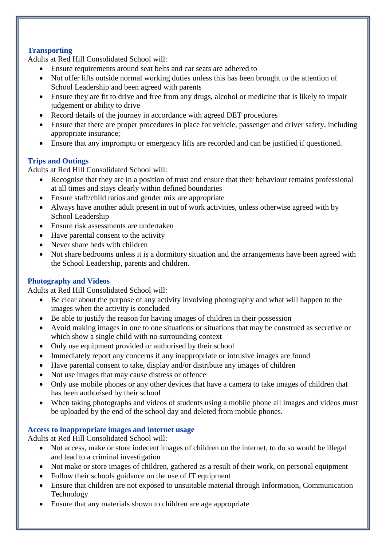# **Transporting**

Adults at Red Hill Consolidated School will:

- Ensure requirements around seat belts and car seats are adhered to
- Not offer lifts outside normal working duties unless this has been brought to the attention of School Leadership and been agreed with parents
- Ensure they are fit to drive and free from any drugs, alcohol or medicine that is likely to impair judgement or ability to drive
- Record details of the journey in accordance with agreed DET procedures
- Ensure that there are proper procedures in place for vehicle, passenger and driver safety, including appropriate insurance;
- Ensure that any impromptu or emergency lifts are recorded and can be justified if questioned.

# **Trips and Outings**

Adults at Red Hill Consolidated School will:

- Recognise that they are in a position of trust and ensure that their behaviour remains professional at all times and stays clearly within defined boundaries
- Ensure staff/child ratios and gender mix are appropriate
- Always have another adult present in out of work activities, unless otherwise agreed with by School Leadership
- Ensure risk assessments are undertaken
- Have parental consent to the activity
- Never share beds with children
- Not share bedrooms unless it is a dormitory situation and the arrangements have been agreed with the School Leadership, parents and children.

# **Photography and Videos**

Adults at Red Hill Consolidated School will:

- Be clear about the purpose of any activity involving photography and what will happen to the images when the activity is concluded
- Be able to justify the reason for having images of children in their possession
- Avoid making images in one to one situations or situations that may be construed as secretive or which show a single child with no surrounding context
- Only use equipment provided or authorised by their school
- Immediately report any concerns if any inappropriate or intrusive images are found
- Have parental consent to take, display and/or distribute any images of children
- Not use images that may cause distress or offence
- Only use mobile phones or any other devices that have a camera to take images of children that has been authorised by their school
- When taking photographs and videos of students using a mobile phone all images and videos must be uploaded by the end of the school day and deleted from mobile phones.

# **Access to inappropriate images and internet usage**

Adults at Red Hill Consolidated School will:

- Not access, make or store indecent images of children on the internet, to do so would be illegal and lead to a criminal investigation
- Not make or store images of children, gathered as a result of their work, on personal equipment
- Follow their schools guidance on the use of IT equipment
- Ensure that children are not exposed to unsuitable material through Information, Communication Technology
- Ensure that any materials shown to children are age appropriate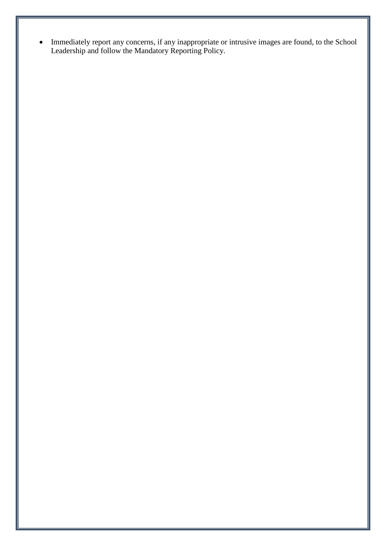Immediately report any concerns, if any inappropriate or intrusive images are found, to the School Leadership and follow the Mandatory Reporting Policy.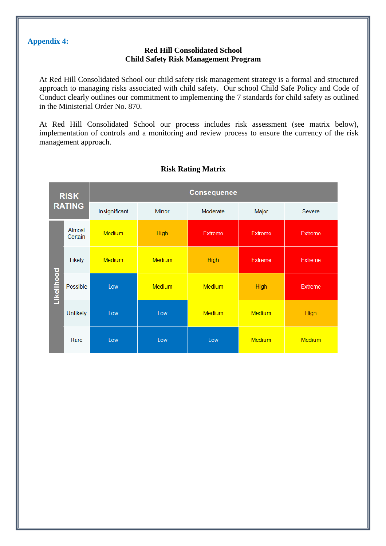#### **Appendix 4:**

#### **Red Hill Consolidated School Child Safety Risk Management Program**

At Red Hill Consolidated School our child safety risk management strategy is a formal and structured approach to managing risks associated with child safety. Our school Child Safe Policy and Code of Conduct clearly outlines our commitment to implementing the 7 standards for child safety as outlined in the Ministerial Order No. 870.

At Red Hill Consolidated School our process includes risk assessment (see matrix below), implementation of controls and a monitoring and review process to ensure the currency of the risk management approach.



#### **Risk Rating Matrix**